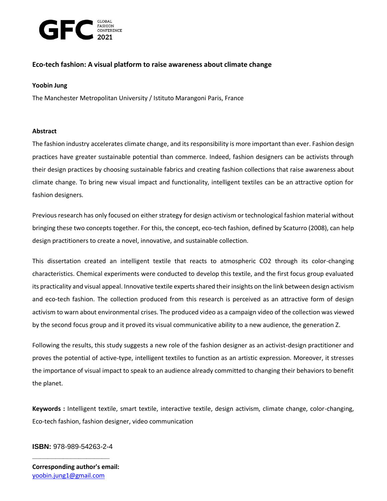

# **Eco-tech fashion: A visual platform to raise awareness about climate change**

## **Yoobin Jung**

The Manchester Metropolitan University / Istituto Marangoni Paris, France

### **Abstract**

The fashion industry accelerates climate change, and its responsibility is more important than ever. Fashion design practices have greater sustainable potential than commerce. Indeed, fashion designers can be activists through their design practices by choosing sustainable fabrics and creating fashion collections that raise awareness about climate change. To bring new visual impact and functionality, intelligent textiles can be an attractive option for fashion designers.

Previous research has only focused on either strategy for design activism or technological fashion material without bringing these two concepts together. For this, the concept, eco-tech fashion, defined by Scaturro (2008), can help design practitioners to create a novel, innovative, and sustainable collection.

This dissertation created an intelligent textile that reacts to atmospheric CO2 through its color-changing characteristics. Chemical experiments were conducted to develop this textile, and the first focus group evaluated its practicality and visual appeal. Innovative textile experts shared their insights on the link between design activism and eco-tech fashion. The collection produced from this research is perceived as an attractive form of design activism to warn about environmental crises. The produced video as a campaign video of the collection was viewed by the second focus group and it proved its visual communicative ability to a new audience, the generation Z.

Following the results, this study suggests a new role of the fashion designer as an activist-design practitioner and proves the potential of active-type, intelligent textiles to function as an artistic expression. Moreover, it stresses the importance of visual impact to speak to an audience already committed to changing their behaviors to benefit the planet.

**Keywords :** Intelligent textile, smart textile, interactive textile, design activism, climate change, color-changing, Eco-tech fashion, fashion designer, video communication

# **\_\_\_\_\_\_\_\_\_\_\_\_\_\_\_\_\_\_\_\_ ISBN:** 978-989-54263-2-4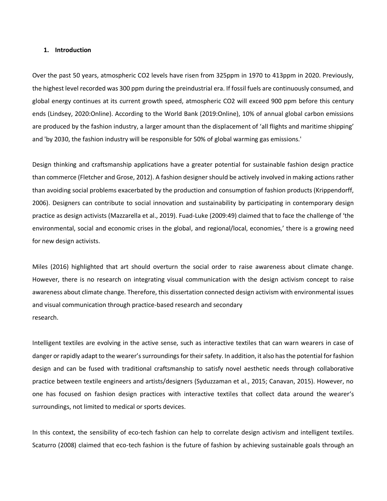#### **1. Introduction**

Over the past 50 years, atmospheric CO2 levels have risen from 325ppm in 1970 to 413ppm in 2020. Previously, the highest level recorded was 300 ppm during the preindustrial era. If fossil fuels are continuously consumed, and global energy continues at its current growth speed, atmospheric CO2 will exceed 900 ppm before this century ends (Lindsey, 2020:Online). According to the World Bank (2019:Online), 10% of annual global carbon emissions are produced by the fashion industry, a larger amount than the displacement of 'all flights and maritime shipping' and 'by 2030, the fashion industry will be responsible for 50% of global warming gas emissions.'

Design thinking and craftsmanship applications have a greater potential for sustainable fashion design practice than commerce (Fletcher and Grose, 2012). A fashion designer should be actively involved in making actions rather than avoiding social problems exacerbated by the production and consumption of fashion products (Krippendorff, 2006). Designers can contribute to social innovation and sustainability by participating in contemporary design practice as design activists (Mazzarella et al., 2019). Fuad-Luke (2009:49) claimed that to face the challenge of 'the environmental, social and economic crises in the global, and regional/local, economies,' there is a growing need for new design activists.

Miles (2016) highlighted that art should overturn the social order to raise awareness about climate change. However, there is no research on integrating visual communication with the design activism concept to raise awareness about climate change. Therefore, this dissertation connected design activism with environmental issues and visual communication through practice-based research and secondary research.

Intelligent textiles are evolving in the active sense, such as interactive textiles that can warn wearers in case of danger or rapidly adapt to the wearer's surroundings for their safety. In addition, it also has the potential for fashion design and can be fused with traditional craftsmanship to satisfy novel aesthetic needs through collaborative practice between textile engineers and artists/designers (Syduzzaman et al., 2015; Canavan, 2015). However, no one has focused on fashion design practices with interactive textiles that collect data around the wearer's surroundings, not limited to medical or sports devices.

In this context, the sensibility of eco-tech fashion can help to correlate design activism and intelligent textiles. Scaturro (2008) claimed that eco-tech fashion is the future of fashion by achieving sustainable goals through an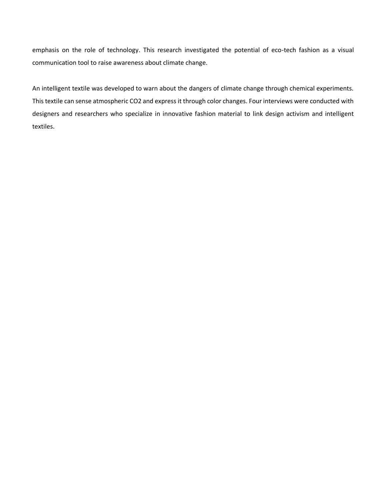emphasis on the role of technology. This research investigated the potential of eco-tech fashion as a visual communication tool to raise awareness about climate change.

An intelligent textile was developed to warn about the dangers of climate change through chemical experiments. This textile can sense atmospheric CO2 and express it through color changes. Four interviews were conducted with designers and researchers who specialize in innovative fashion material to link design activism and intelligent textiles.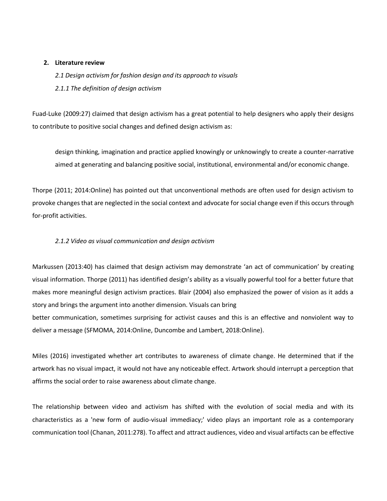### **2. Literature review**

*2.1 Design activism for fashion design and its approach to visuals 2.1.1 The definition of design activism*

Fuad-Luke (2009:27) claimed that design activism has a great potential to help designers who apply their designs to contribute to positive social changes and defined design activism as:

design thinking, imagination and practice applied knowingly or unknowingly to create a counter-narrative aimed at generating and balancing positive social, institutional, environmental and/or economic change.

Thorpe (2011; 2014:Online) has pointed out that unconventional methods are often used for design activism to provoke changes that are neglected in the social context and advocate for social change even if this occurs through for-profit activities.

# *2.1.2 Video as visual communication and design activism*

Markussen (2013:40) has claimed that design activism may demonstrate 'an act of communication' by creating visual information. Thorpe (2011) has identified design's ability as a visually powerful tool for a better future that makes more meaningful design activism practices. Blair (2004) also emphasized the power of vision as it adds a story and brings the argument into another dimension. Visuals can bring better communication, sometimes surprising for activist causes and this is an effective and nonviolent way to deliver a message (SFMOMA, 2014:Online, Duncombe and Lambert, 2018:Online).

Miles (2016) investigated whether art contributes to awareness of climate change. He determined that if the artwork has no visual impact, it would not have any noticeable effect. Artwork should interrupt a perception that affirms the social order to raise awareness about climate change.

The relationship between video and activism has shifted with the evolution of social media and with its characteristics as a 'new form of audio-visual immediacy;' video plays an important role as a contemporary communication tool (Chanan, 2011:278). To affect and attract audiences, video and visual artifacts can be effective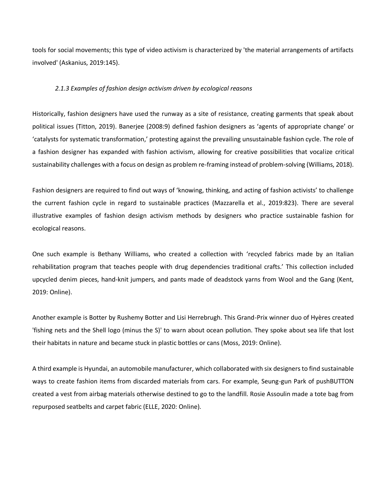tools for social movements; this type of video activism is characterized by 'the material arrangements of artifacts involved' (Askanius, 2019:145).

#### *2.1.3 Examples of fashion design activism driven by ecological reasons*

Historically, fashion designers have used the runway as a site of resistance, creating garments that speak about political issues (Titton, 2019). Banerjee (2008:9) defined fashion designers as 'agents of appropriate change' or 'catalysts for systematic transformation,' protesting against the prevailing unsustainable fashion cycle. The role of a fashion designer has expanded with fashion activism, allowing for creative possibilities that vocalize critical sustainability challenges with a focus on design as problem re-framing instead of problem-solving (Williams, 2018).

Fashion designers are required to find out ways of 'knowing, thinking, and acting of fashion activists' to challenge the current fashion cycle in regard to sustainable practices (Mazzarella et al., 2019:823). There are several illustrative examples of fashion design activism methods by designers who practice sustainable fashion for ecological reasons.

One such example is Bethany Williams, who created a collection with 'recycled fabrics made by an Italian rehabilitation program that teaches people with drug dependencies traditional crafts.' This collection included upcycled denim pieces, hand-knit jumpers, and pants made of deadstock yarns from Wool and the Gang (Kent, 2019: Online).

Another example is Botter by Rushemy Botter and Lisi Herrebrugh. This Grand-Prix winner duo of Hyères created 'fishing nets and the Shell logo (minus the S)' to warn about ocean pollution. They spoke about sea life that lost their habitats in nature and became stuck in plastic bottles or cans (Moss, 2019: Online).

A third example is Hyundai, an automobile manufacturer, which collaborated with six designers to find sustainable ways to create fashion items from discarded materials from cars. For example, Seung-gun Park of pushBUTTON created a vest from airbag materials otherwise destined to go to the landfill. Rosie Assoulin made a tote bag from repurposed seatbelts and carpet fabric (ELLE, 2020: Online).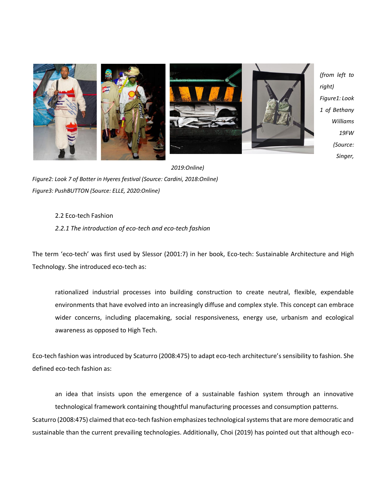

*(from left to Figure1: Look 1 of Bethany Williams 19FW (Source: Singer,* 

*2019:Online) Figure2: Look 7 of Botter in Hyeres festival (Source: Cardini, 2018:Online) Figure3: PushBUTTON (Source: ELLE, 2020:Online)*

# 2.2 Eco-tech Fashion

## *2.2.1 The introduction of eco-tech and eco-tech fashion*

The term 'eco-tech' was first used by Slessor (2001:7) in her book, Eco-tech: Sustainable Architecture and High Technology. She introduced eco-tech as:

rationalized industrial processes into building construction to create neutral, flexible, expendable environments that have evolved into an increasingly diffuse and complex style. This concept can embrace wider concerns, including placemaking, social responsiveness, energy use, urbanism and ecological awareness as opposed to High Tech.

Eco-tech fashion was introduced by Scaturro (2008:475) to adapt eco-tech architecture's sensibility to fashion. She defined eco-tech fashion as:

an idea that insists upon the emergence of a sustainable fashion system through an innovative technological framework containing thoughtful manufacturing processes and consumption patterns. Scaturro (2008:475) claimed that eco-tech fashion emphasizes technological systems that are more democratic and sustainable than the current prevailing technologies. Additionally, Choi (2019) has pointed out that although eco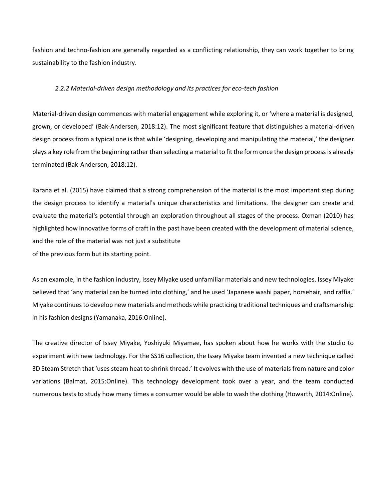fashion and techno-fashion are generally regarded as a conflicting relationship, they can work together to bring sustainability to the fashion industry.

#### *2.2.2 Material-driven design methodology and its practices for eco-tech fashion*

Material-driven design commences with material engagement while exploring it, or 'where a material is designed, grown, or developed' (Bak-Andersen, 2018:12). The most significant feature that distinguishes a material-driven design process from a typical one is that while 'designing, developing and manipulating the material,' the designer plays a key role from the beginning rather than selecting a material to fit the form once the design process is already terminated (Bak-Andersen, 2018:12).

Karana et al. (2015) have claimed that a strong comprehension of the material is the most important step during the design process to identify a material's unique characteristics and limitations. The designer can create and evaluate the material's potential through an exploration throughout all stages of the process. Oxman (2010) has highlighted how innovative forms of craft in the past have been created with the development of material science, and the role of the material was not just a substitute of the previous form but its starting point.

As an example, in the fashion industry, Issey Miyake used unfamiliar materials and new technologies. Issey Miyake believed that 'any material can be turned into clothing,' and he used 'Japanese washi paper, horsehair, and raffia.' Miyake continues to develop new materials and methods while practicing traditional techniques and craftsmanship in his fashion designs (Yamanaka, 2016:Online).

The creative director of Issey Miyake, Yoshiyuki Miyamae, has spoken about how he works with the studio to experiment with new technology. For the SS16 collection, the Issey Miyake team invented a new technique called 3D Steam Stretch that 'uses steam heat to shrink thread.' It evolves with the use of materials from nature and color variations (Balmat, 2015:Online). This technology development took over a year, and the team conducted numerous tests to study how many times a consumer would be able to wash the clothing (Howarth, 2014:Online).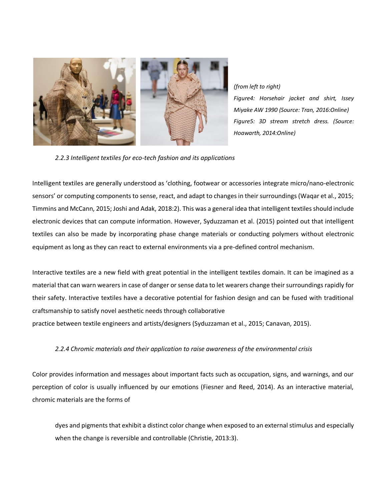

*(from left to right) Figure4: Horsehair jacket and shirt, Issey Miyake AW 1990 (Source: Tran, 2016:Online) Figure5: 3D stream stretch dress. (Source: Hoawarth, 2014:Online)*

*2.2.3 Intelligent textiles for eco-tech fashion and its applications*

Intelligent textiles are generally understood as 'clothing, footwear or accessories integrate micro/nano-electronic sensors' or computing components to sense, react, and adapt to changes in their surroundings (Waqar et al., 2015; Timmins and McCann, 2015; Joshi and Adak, 2018:2). This was a general idea that intelligent textiles should include electronic devices that can compute information. However, Syduzzaman et al. (2015) pointed out that intelligent textiles can also be made by incorporating phase change materials or conducting polymers without electronic equipment as long as they can react to external environments via a pre-defined control mechanism.

Interactive textiles are a new field with great potential in the intelligent textiles domain. It can be imagined as a material that can warn wearers in case of danger or sense data to let wearers change their surroundings rapidly for their safety. Interactive textiles have a decorative potential for fashion design and can be fused with traditional craftsmanship to satisfy novel aesthetic needs through collaborative

practice between textile engineers and artists/designers (Syduzzaman et al., 2015; Canavan, 2015).

# *2.2.4 Chromic materials and their application to raise awareness of the environmental crisis*

Color provides information and messages about important facts such as occupation, signs, and warnings, and our perception of color is usually influenced by our emotions (Fiesner and Reed, 2014). As an interactive material, chromic materials are the forms of

dyes and pigments that exhibit a distinct color change when exposed to an external stimulus and especially when the change is reversible and controllable (Christie, 2013:3).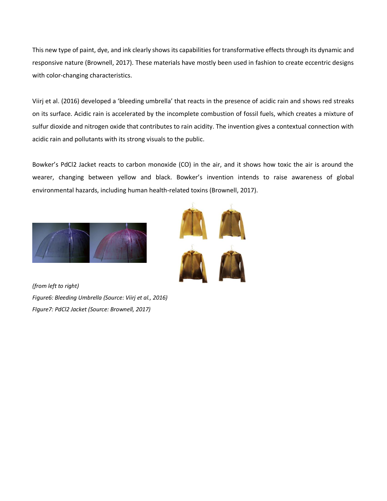This new type of paint, dye, and ink clearly shows its capabilities for transformative effects through its dynamic and responsive nature (Brownell, 2017). These materials have mostly been used in fashion to create eccentric designs with color-changing characteristics.

Viirj et al. (2016) developed a 'bleeding umbrella' that reacts in the presence of acidic rain and shows red streaks on its surface. Acidic rain is accelerated by the incomplete combustion of fossil fuels, which creates a mixture of sulfur dioxide and nitrogen oxide that contributes to rain acidity. The invention gives a contextual connection with acidic rain and pollutants with its strong visuals to the public.

Bowker's PdCl2 Jacket reacts to carbon monoxide (CO) in the air, and it shows how toxic the air is around the wearer, changing between yellow and black. Bowker's invention intends to raise awareness of global environmental hazards, including human health-related toxins (Brownell, 2017).



*(from left to right) Figure6: Bleeding Umbrella (Source: Viirj et al., 2016) FIgure7: PdCl2 Jacket (Source: Brownell, 2017)*

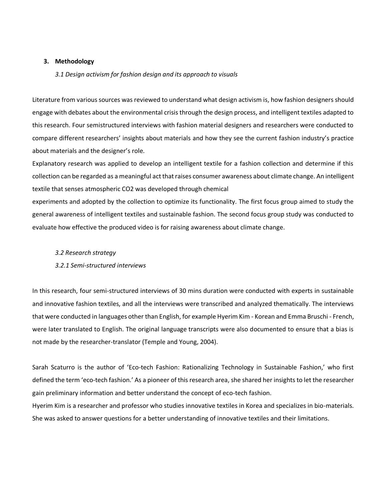#### **3. Methodology**

#### *3.1 Design activism for fashion design and its approach to visuals*

Literature from various sources was reviewed to understand what design activism is, how fashion designers should engage with debates about the environmental crisis through the design process, and intelligent textiles adapted to this research. Four semistructured interviews with fashion material designers and researchers were conducted to compare different researchers' insights about materials and how they see the current fashion industry's practice about materials and the designer's role.

Explanatory research was applied to develop an intelligent textile for a fashion collection and determine if this collection can be regarded as a meaningful act that raises consumer awareness about climate change. An intelligent textile that senses atmospheric CO2 was developed through chemical

experiments and adopted by the collection to optimize its functionality. The first focus group aimed to study the general awareness of intelligent textiles and sustainable fashion. The second focus group study was conducted to evaluate how effective the produced video is for raising awareness about climate change.

#### *3.2 Research strategy*

#### *3.2.1 Semi-structured interviews*

In this research, four semi-structured interviews of 30 mins duration were conducted with experts in sustainable and innovative fashion textiles, and all the interviews were transcribed and analyzed thematically. The interviews that were conducted in languages other than English, for example Hyerim Kim - Korean and Emma Bruschi - French, were later translated to English. The original language transcripts were also documented to ensure that a bias is not made by the researcher-translator (Temple and Young, 2004).

Sarah Scaturro is the author of 'Eco-tech Fashion: Rationalizing Technology in Sustainable Fashion,' who first defined the term 'eco-tech fashion.' As a pioneer of this research area, she shared her insights to let the researcher gain preliminary information and better understand the concept of eco-tech fashion.

Hyerim Kim is a researcher and professor who studies innovative textiles in Korea and specializes in bio-materials. She was asked to answer questions for a better understanding of innovative textiles and their limitations.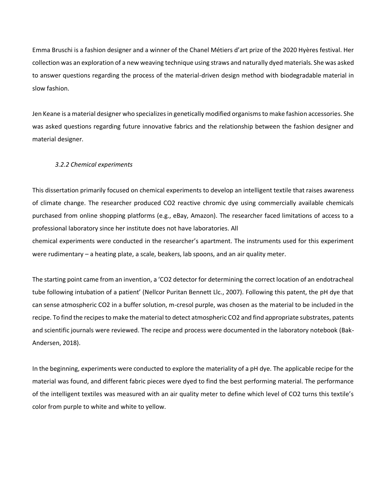Emma Bruschi is a fashion designer and a winner of the Chanel Métiers d'art prize of the 2020 Hyères festival. Her collection was an exploration of a new weaving technique using straws and naturally dyed materials. She was asked to answer questions regarding the process of the material-driven design method with biodegradable material in slow fashion.

Jen Keane is a material designer who specializes in genetically modified organisms to make fashion accessories. She was asked questions regarding future innovative fabrics and the relationship between the fashion designer and material designer.

### *3.2.2 Chemical experiments*

This dissertation primarily focused on chemical experiments to develop an intelligent textile that raises awareness of climate change. The researcher produced CO2 reactive chromic dye using commercially available chemicals purchased from online shopping platforms (e.g., eBay, Amazon). The researcher faced limitations of access to a professional laboratory since her institute does not have laboratories. All

chemical experiments were conducted in the researcher's apartment. The instruments used for this experiment were rudimentary – a heating plate, a scale, beakers, lab spoons, and an air quality meter.

The starting point came from an invention, a 'CO2 detector for determining the correct location of an endotracheal tube following intubation of a patient' (Nellcor Puritan Bennett Llc., 2007). Following this patent, the pH dye that can sense atmospheric CO2 in a buffer solution, m-cresol purple, was chosen as the material to be included in the recipe. To find the recipes to make the material to detect atmospheric CO2 and find appropriate substrates, patents and scientific journals were reviewed. The recipe and process were documented in the laboratory notebook (Bak-Andersen, 2018).

In the beginning, experiments were conducted to explore the materiality of a pH dye. The applicable recipe for the material was found, and different fabric pieces were dyed to find the best performing material. The performance of the intelligent textiles was measured with an air quality meter to define which level of CO2 turns this textile's color from purple to white and white to yellow.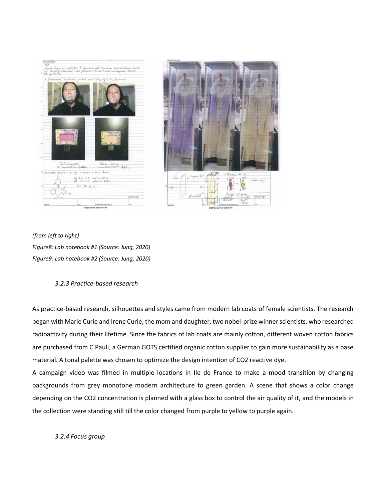



*(from left to right) Figure8: Lab notebook #1 (Source: Jung, 2020) FIgure9: Lab notebook #2 (Source: Jung, 2020)*

## *3.2.3 Practice-based research*

As practice-based research, silhouettes and styles came from modern lab coats of female scientists. The research began with Marie Curie and Irene Curie, the mom and daughter, two nobel-prize winner scientists, who researched radioactivity during their lifetime. Since the fabrics of lab coats are mainly cotton, different woven cotton fabrics are purchased from C.Pauli, a German GOTS certified organic cotton supplier to gain more sustainability as a base material. A tonal palette was chosen to optimize the design intention of CO2 reactive dye.

A campaign video was filmed in multiple locations in Ile de France to make a mood transition by changing backgrounds from grey monotone modern architecture to green garden. A scene that shows a color change depending on the CO2 concentration is planned with a glass box to control the air quality of it, and the models in the collection were standing still till the color changed from purple to yellow to purple again.

*3.2.4 Focus group*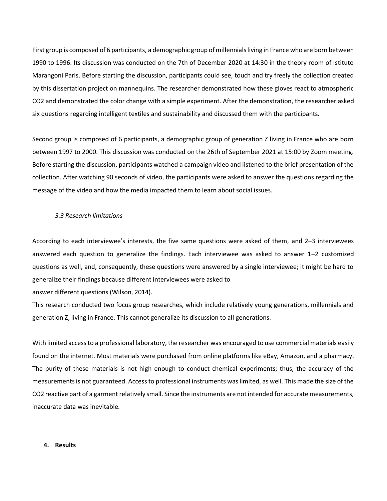First group is composed of 6 participants, a demographic group of millennials living in France who are born between 1990 to 1996. Its discussion was conducted on the 7th of December 2020 at 14:30 in the theory room of Istituto Marangoni Paris. Before starting the discussion, participants could see, touch and try freely the collection created by this dissertation project on mannequins. The researcher demonstrated how these gloves react to atmospheric CO2 and demonstrated the color change with a simple experiment. After the demonstration, the researcher asked six questions regarding intelligent textiles and sustainability and discussed them with the participants.

Second group is composed of 6 participants, a demographic group of generation Z living in France who are born between 1997 to 2000. This discussion was conducted on the 26th of September 2021 at 15:00 by Zoom meeting. Before starting the discussion, participants watched a campaign video and listened to the brief presentation of the collection. After watching 90 seconds of video, the participants were asked to answer the questions regarding the message of the video and how the media impacted them to learn about social issues.

#### *3.3 Research limitations*

According to each interviewee's interests, the five same questions were asked of them, and 2–3 interviewees answered each question to generalize the findings. Each interviewee was asked to answer 1–2 customized questions as well, and, consequently, these questions were answered by a single interviewee; it might be hard to generalize their findings because different interviewees were asked to

answer different questions (Wilson, 2014).

This research conducted two focus group researches, which include relatively young generations, millennials and generation Z, living in France. This cannot generalize its discussion to all generations.

With limited access to a professional laboratory, the researcher was encouraged to use commercial materials easily found on the internet. Most materials were purchased from online platforms like eBay, Amazon, and a pharmacy. The purity of these materials is not high enough to conduct chemical experiments; thus, the accuracy of the measurements is not guaranteed. Access to professional instruments was limited, as well. This made the size of the CO2 reactive part of a garment relatively small. Since the instruments are not intended for accurate measurements, inaccurate data was inevitable.

#### **4. Results**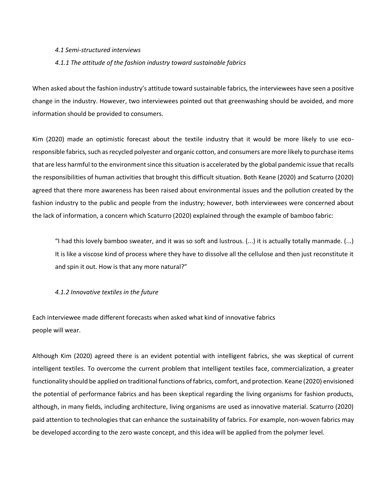#### *4.1 Semi-structured interviews*

#### *4.1.1 The attitude of the fashion industry toward sustainable fabrics*

When asked about the fashion industry's attitude toward sustainable fabrics, the interviewees have seen a positive change in the industry. However, two interviewees pointed out that greenwashing should be avoided, and more information should be provided to consumers.

Kim (2020) made an optimistic forecast about the textile industry that it would be more likely to use ecoresponsible fabrics, such as recycled polyester and organic cotton, and consumers are more likely to purchase items that are less harmful to the environment since this situation is accelerated by the global pandemic issue that recalls the responsibilities of human activities that brought this difficult situation. Both Keane (2020) and Scaturro (2020) agreed that there more awareness has been raised about environmental issues and the pollution created by the fashion industry to the public and people from the industry; however, both interviewees were concerned about the lack of information, a concern which Scaturro (2020) explained through the example of bamboo fabric:

"I had this lovely bamboo sweater, and it was so soft and lustrous. (...) it is actually totally manmade. (...) It is like a viscose kind of process where they have to dissolve all the cellulose and then just reconstitute it and spin it out. How is that any more natural?"

#### *4.1.2 Innovative textiles in the future*

Each interviewee made different forecasts when asked what kind of innovative fabrics people will wear.

Although Kim (2020) agreed there is an evident potential with intelligent fabrics, she was skeptical of current intelligent textiles. To overcome the current problem that intelligent textiles face, commercialization, a greater functionality should be applied on traditional functions of fabrics, comfort, and protection. Keane (2020) envisioned the potential of performance fabrics and has been skeptical regarding the living organisms for fashion products, although, in many fields, including architecture, living organisms are used as innovative material. Scaturro (2020) paid attention to technologies that can enhance the sustainability of fabrics. For example, non-woven fabrics may be developed according to the zero waste concept, and this idea will be applied from the polymer level.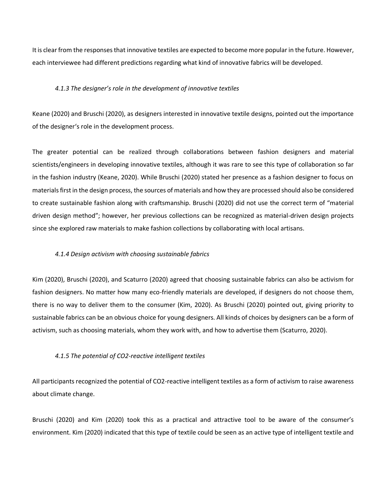It is clear from the responses that innovative textiles are expected to become more popular in the future. However, each interviewee had different predictions regarding what kind of innovative fabrics will be developed.

#### *4.1.3 The designer's role in the development of innovative textiles*

Keane (2020) and Bruschi (2020), as designers interested in innovative textile designs, pointed out the importance of the designer's role in the development process.

The greater potential can be realized through collaborations between fashion designers and material scientists/engineers in developing innovative textiles, although it was rare to see this type of collaboration so far in the fashion industry (Keane, 2020). While Bruschi (2020) stated her presence as a fashion designer to focus on materials first in the design process, the sources of materials and how they are processed should also be considered to create sustainable fashion along with craftsmanship. Bruschi (2020) did not use the correct term of "material driven design method"; however, her previous collections can be recognized as material-driven design projects since she explored raw materials to make fashion collections by collaborating with local artisans.

### *4.1.4 Design activism with choosing sustainable fabrics*

Kim (2020), Bruschi (2020), and Scaturro (2020) agreed that choosing sustainable fabrics can also be activism for fashion designers. No matter how many eco-friendly materials are developed, if designers do not choose them, there is no way to deliver them to the consumer (Kim, 2020). As Bruschi (2020) pointed out, giving priority to sustainable fabrics can be an obvious choice for young designers. All kinds of choices by designers can be a form of activism, such as choosing materials, whom they work with, and how to advertise them (Scaturro, 2020).

#### *4.1.5 The potential of CO2-reactive intelligent textiles*

All participants recognized the potential of CO2-reactive intelligent textiles as a form of activism to raise awareness about climate change.

Bruschi (2020) and Kim (2020) took this as a practical and attractive tool to be aware of the consumer's environment. Kim (2020) indicated that this type of textile could be seen as an active type of intelligent textile and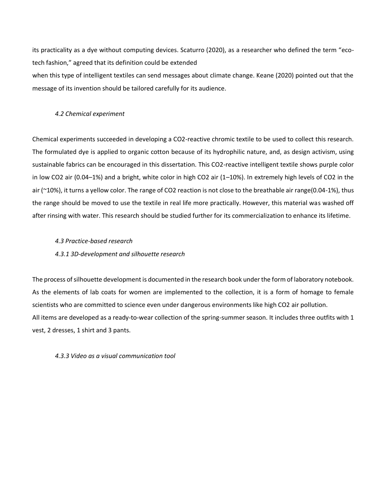its practicality as a dye without computing devices. Scaturro (2020), as a researcher who defined the term "ecotech fashion," agreed that its definition could be extended

when this type of intelligent textiles can send messages about climate change. Keane (2020) pointed out that the message of its invention should be tailored carefully for its audience.

## *4.2 Chemical experiment*

Chemical experiments succeeded in developing a CO2-reactive chromic textile to be used to collect this research. The formulated dye is applied to organic cotton because of its hydrophilic nature, and, as design activism, using sustainable fabrics can be encouraged in this dissertation. This CO2-reactive intelligent textile shows purple color in low CO2 air (0.04–1%) and a bright, white color in high CO2 air (1–10%). In extremely high levels of CO2 in the air (~10%), it turns a yellow color. The range of CO2 reaction is not close to the breathable air range(0.04-1%), thus the range should be moved to use the textile in real life more practically. However, this material was washed off after rinsing with water. This research should be studied further for its commercialization to enhance its lifetime.

## *4.3 Practice-based research*

# *4.3.1 3D-development and silhouette research*

The process of silhouette development is documented in the research book under the form of laboratory notebook. As the elements of lab coats for women are implemented to the collection, it is a form of homage to female scientists who are committed to science even under dangerous environments like high CO2 air pollution. All items are developed as a ready-to-wear collection of the spring-summer season. It includes three outfits with 1 vest, 2 dresses, 1 shirt and 3 pants.

### *4.3.3 Video as a visual communication tool*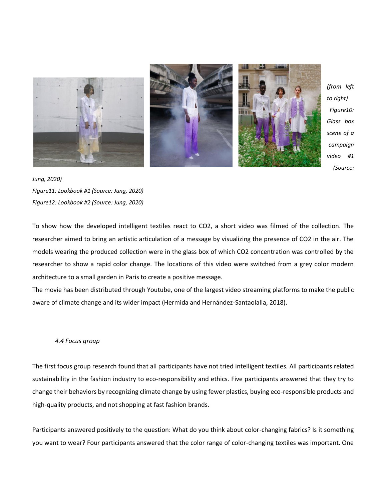

*(from left to right) Figure10: Glass box scene of a campaign video #1 (Source:* 

*Jung, 2020) FIgure11: Lookbook #1 (Source: Jung, 2020) FIgure12: Lookbook #2 (Source: Jung, 2020)*

To show how the developed intelligent textiles react to CO2, a short video was filmed of the collection. The researcher aimed to bring an artistic articulation of a message by visualizing the presence of CO2 in the air. The models wearing the produced collection were in the glass box of which CO2 concentration was controlled by the researcher to show a rapid color change. The locations of this video were switched from a grey color modern architecture to a small garden in Paris to create a positive message.

The movie has been distributed through Youtube, one of the largest video streaming platforms to make the public aware of climate change and its wider impact (Hermida and Hernández-Santaolalla, 2018).

### *4.4 Focus group*

The first focus group research found that all participants have not tried intelligent textiles. All participants related sustainability in the fashion industry to eco-responsibility and ethics. Five participants answered that they try to change their behaviors by recognizing climate change by using fewer plastics, buying eco-responsible products and high-quality products, and not shopping at fast fashion brands.

Participants answered positively to the question: What do you think about color-changing fabrics? Is it something you want to wear? Four participants answered that the color range of color-changing textiles was important. One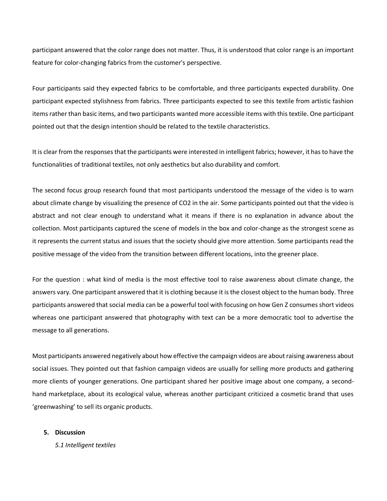participant answered that the color range does not matter. Thus, it is understood that color range is an important feature for color-changing fabrics from the customer's perspective.

Four participants said they expected fabrics to be comfortable, and three participants expected durability. One participant expected stylishness from fabrics. Three participants expected to see this textile from artistic fashion items rather than basic items, and two participants wanted more accessible items with this textile. One participant pointed out that the design intention should be related to the textile characteristics.

It is clear from the responses that the participants were interested in intelligent fabrics; however, it has to have the functionalities of traditional textiles, not only aesthetics but also durability and comfort.

The second focus group research found that most participants understood the message of the video is to warn about climate change by visualizing the presence of CO2 in the air. Some participants pointed out that the video is abstract and not clear enough to understand what it means if there is no explanation in advance about the collection. Most participants captured the scene of models in the box and color-change as the strongest scene as it represents the current status and issues that the society should give more attention. Some participants read the positive message of the video from the transition between different locations, into the greener place.

For the question : what kind of media is the most effective tool to raise awareness about climate change, the answers vary. One participant answered that it is clothing because it is the closest object to the human body. Three participants answered that social media can be a powerful tool with focusing on how Gen Z consumes short videos whereas one participant answered that photography with text can be a more democratic tool to advertise the message to all generations.

Most participants answered negatively about how effective the campaign videos are about raising awareness about social issues. They pointed out that fashion campaign videos are usually for selling more products and gathering more clients of younger generations. One participant shared her positive image about one company, a secondhand marketplace, about its ecological value, whereas another participant criticized a cosmetic brand that uses 'greenwashing' to sell its organic products.

### **5. Discussion**

*5.1 Intelligent textiles*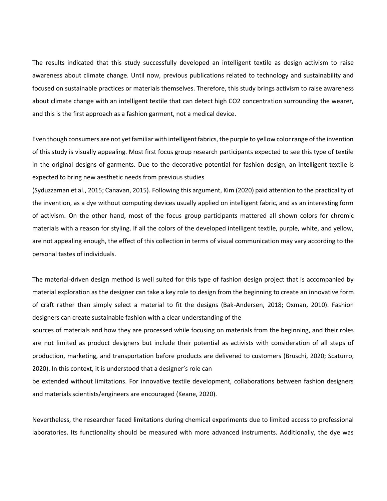The results indicated that this study successfully developed an intelligent textile as design activism to raise awareness about climate change. Until now, previous publications related to technology and sustainability and focused on sustainable practices or materials themselves. Therefore, this study brings activism to raise awareness about climate change with an intelligent textile that can detect high CO2 concentration surrounding the wearer, and this is the first approach as a fashion garment, not a medical device.

Even though consumers are not yet familiar with intelligent fabrics, the purple to yellow color range of the invention of this study is visually appealing. Most first focus group research participants expected to see this type of textile in the original designs of garments. Due to the decorative potential for fashion design, an intelligent textile is expected to bring new aesthetic needs from previous studies

(Syduzzaman et al., 2015; Canavan, 2015). Following this argument, Kim (2020) paid attention to the practicality of the invention, as a dye without computing devices usually applied on intelligent fabric, and as an interesting form of activism. On the other hand, most of the focus group participants mattered all shown colors for chromic materials with a reason for styling. If all the colors of the developed intelligent textile, purple, white, and yellow, are not appealing enough, the effect of this collection in terms of visual communication may vary according to the personal tastes of individuals.

The material-driven design method is well suited for this type of fashion design project that is accompanied by material exploration as the designer can take a key role to design from the beginning to create an innovative form of craft rather than simply select a material to fit the designs (Bak-Andersen, 2018; Oxman, 2010). Fashion designers can create sustainable fashion with a clear understanding of the

sources of materials and how they are processed while focusing on materials from the beginning, and their roles are not limited as product designers but include their potential as activists with consideration of all steps of production, marketing, and transportation before products are delivered to customers (Bruschi, 2020; Scaturro, 2020). In this context, it is understood that a designer's role can

be extended without limitations. For innovative textile development, collaborations between fashion designers and materials scientists/engineers are encouraged (Keane, 2020).

Nevertheless, the researcher faced limitations during chemical experiments due to limited access to professional laboratories. Its functionality should be measured with more advanced instruments. Additionally, the dye was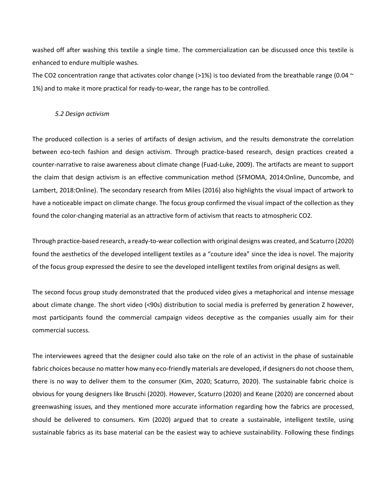washed off after washing this textile a single time. The commercialization can be discussed once this textile is enhanced to endure multiple washes.

The CO2 concentration range that activates color change (>1%) is too deviated from the breathable range (0.04  $\sim$ 1%) and to make it more practical for ready-to-wear, the range has to be controlled.

#### *5.2 Design activism*

The produced collection is a series of artifacts of design activism, and the results demonstrate the correlation between eco-tech fashion and design activism. Through practice-based research, design practices created a counter-narrative to raise awareness about climate change (Fuad-Luke, 2009). The artifacts are meant to support the claim that design activism is an effective communication method (SFMOMA, 2014:Online, Duncombe, and Lambert, 2018:Online). The secondary research from Miles (2016) also highlights the visual impact of artwork to have a noticeable impact on climate change. The focus group confirmed the visual impact of the collection as they found the color-changing material as an attractive form of activism that reacts to atmospheric CO2.

Through practice-based research, a ready-to-wear collection with original designs was created, and Scaturro (2020) found the aesthetics of the developed intelligent textiles as a "couture idea" since the idea is novel. The majority of the focus group expressed the desire to see the developed intelligent textiles from original designs as well.

The second focus group study demonstrated that the produced video gives a metaphorical and intense message about climate change. The short video (<90s) distribution to social media is preferred by generation Z however, most participants found the commercial campaign videos deceptive as the companies usually aim for their commercial success.

The interviewees agreed that the designer could also take on the role of an activist in the phase of sustainable fabric choices because no matter how many eco-friendly materials are developed, if designers do not choose them, there is no way to deliver them to the consumer (Kim, 2020; Scaturro, 2020). The sustainable fabric choice is obvious for young designers like Bruschi (2020). However, Scaturro (2020) and Keane (2020) are concerned about greenwashing issues, and they mentioned more accurate information regarding how the fabrics are processed, should be delivered to consumers. Kim (2020) argued that to create a sustainable, intelligent textile, using sustainable fabrics as its base material can be the easiest way to achieve sustainability. Following these findings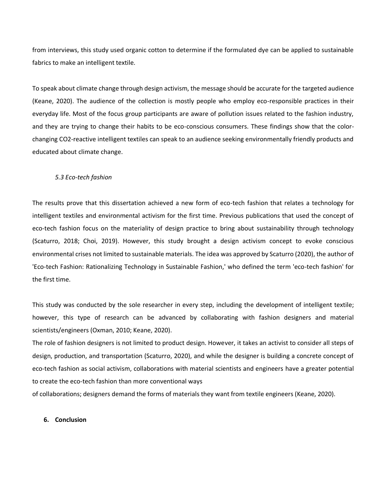from interviews, this study used organic cotton to determine if the formulated dye can be applied to sustainable fabrics to make an intelligent textile.

To speak about climate change through design activism, the message should be accurate for the targeted audience (Keane, 2020). The audience of the collection is mostly people who employ eco-responsible practices in their everyday life. Most of the focus group participants are aware of pollution issues related to the fashion industry, and they are trying to change their habits to be eco-conscious consumers. These findings show that the colorchanging CO2-reactive intelligent textiles can speak to an audience seeking environmentally friendly products and educated about climate change.

#### *5.3 Eco-tech fashion*

The results prove that this dissertation achieved a new form of eco-tech fashion that relates a technology for intelligent textiles and environmental activism for the first time. Previous publications that used the concept of eco-tech fashion focus on the materiality of design practice to bring about sustainability through technology (Scaturro, 2018; Choi, 2019). However, this study brought a design activism concept to evoke conscious environmental crises not limited to sustainable materials. The idea was approved by Scaturro (2020), the author of 'Eco-tech Fashion: Rationalizing Technology in Sustainable Fashion,' who defined the term 'eco-tech fashion' for the first time.

This study was conducted by the sole researcher in every step, including the development of intelligent textile; however, this type of research can be advanced by collaborating with fashion designers and material scientists/engineers (Oxman, 2010; Keane, 2020).

The role of fashion designers is not limited to product design. However, it takes an activist to consider all steps of design, production, and transportation (Scaturro, 2020), and while the designer is building a concrete concept of eco-tech fashion as social activism, collaborations with material scientists and engineers have a greater potential to create the eco-tech fashion than more conventional ways

of collaborations; designers demand the forms of materials they want from textile engineers (Keane, 2020).

#### **6. Conclusion**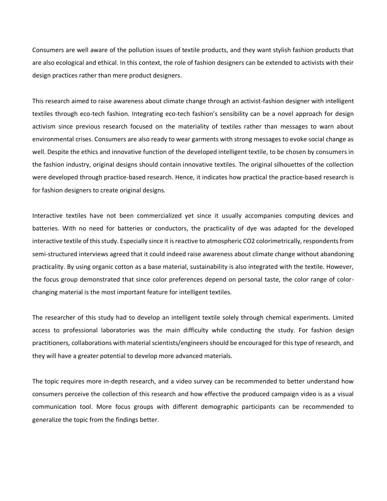Consumers are well aware of the pollution issues of textile products, and they want stylish fashion products that are also ecological and ethical. In this context, the role of fashion designers can be extended to activists with their design practices rather than mere product designers.

This research aimed to raise awareness about climate change through an activist-fashion designer with intelligent textiles through eco-tech fashion. Integrating eco-tech fashion's sensibility can be a novel approach for design activism since previous research focused on the materiality of textiles rather than messages to warn about environmental crises. Consumers are also ready to wear garments with strong messages to evoke social change as well. Despite the ethics and innovative function of the developed intelligent textile, to be chosen by consumers in the fashion industry, original designs should contain innovative textiles. The original silhouettes of the collection were developed through practice-based research. Hence, it indicates how practical the practice-based research is for fashion designers to create original designs.

Interactive textiles have not been commercialized yet since it usually accompanies computing devices and batteries. With no need for batteries or conductors, the practicality of dye was adapted for the developed interactive textile of this study. Especially since it is reactive to atmospheric CO2 colorimetrically, respondents from semi-structured interviews agreed that it could indeed raise awareness about climate change without abandoning practicality. By using organic cotton as a base material, sustainability is also integrated with the textile. However, the focus group demonstrated that since color preferences depend on personal taste, the color range of colorchanging material is the most important feature for intelligent textiles.

The researcher of this study had to develop an intelligent textile solely through chemical experiments. Limited access to professional laboratories was the main difficulty while conducting the study. For fashion design practitioners, collaborations with material scientists/engineers should be encouraged for this type of research, and they will have a greater potential to develop more advanced materials.

The topic requires more in-depth research, and a video survey can be recommended to better understand how consumers perceive the collection of this research and how effective the produced campaign video is as a visual communication tool. More focus groups with different demographic participants can be recommended to generalize the topic from the findings better.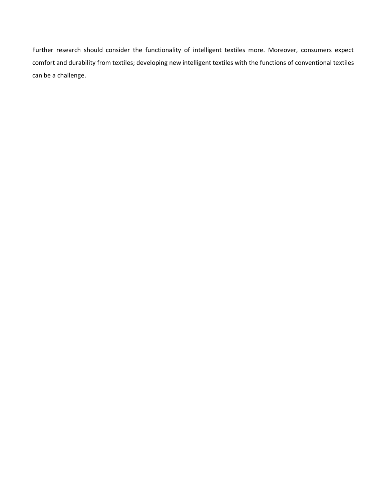Further research should consider the functionality of intelligent textiles more. Moreover, consumers expect comfort and durability from textiles; developing new intelligent textiles with the functions of conventional textiles can be a challenge.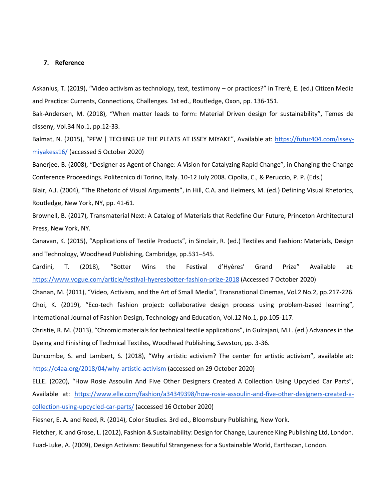#### **7. Reference**

Askanius, T. (2019), "Video activism as technology, text, testimony – or practices?" in Treré, E. (ed.) Citizen Media and Practice: Currents, Connections, Challenges. 1st ed., Routledge, Oxon, pp. 136-151.

Bak-Andersen, M. (2018), "When matter leads to form: Material Driven design for sustainability", Temes de disseny, Vol.34 No.1, pp.12-33.

Balmat, N. (2015), "PFW | TECHING UP THE PLEATS AT ISSEY MIYAKE", Available at: [https://futur404.com/issey](https://futur404.com/issey-miyakess16/)[miyakess16/](https://futur404.com/issey-miyakess16/) (accessed 5 October 2020)

Banerjee, B. (2008), "Designer as Agent of Change: A Vision for Catalyzing Rapid Change", in Changing the Change Conference Proceedings. Politecnico di Torino, Italy. 10-12 July 2008. Cipolla, C., & Peruccio, P. P. (Eds.)

Blair, A.J. (2004), "The Rhetoric of Visual Arguments", in Hill, C.A. and Helmers, M. (ed.) Defining Visual Rhetorics, Routledge, New York, NY, pp. 41-61.

Brownell, B. (2017), Transmaterial Next: A Catalog of Materials that Redefine Our Future, Princeton Architectural Press, New York, NY.

Canavan, K. (2015), "Applications of Textile Products", in Sinclair, R. (ed.) Textiles and Fashion: Materials, Design and Technology, Woodhead Publishing, Cambridge, pp.531–545.

Cardini, T. (2018), "Botter Wins the Festival d'Hyères' Grand Prize" Available at: <https://www.vogue.com/article/festival-hyeresbotter-fashion-prize-2018> (Accessed 7 October 2020)

Chanan, M. (2011), "Video, Activism, and the Art of Small Media", Transnational Cinemas, Vol.2 No.2, pp.217-226. Choi, K. (2019), "Eco-tech fashion project: collaborative design process using problem-based learning", International Journal of Fashion Design, Technology and Education, Vol.12 No.1, pp.105-117.

Christie, R. M. (2013), "Chromic materials for technical textile applications", in Gulrajani, M.L. (ed.) Advances in the Dyeing and Finishing of Technical Textiles, Woodhead Publishing, Sawston, pp. 3-36.

Duncombe, S. and Lambert, S. (2018), "Why artistic activism? The center for artistic activism", available at: <https://c4aa.org/2018/04/why-artistic-activism> (accessed on 29 October 2020)

ELLE. (2020), "How Rosie Assoulin And Five Other Designers Created A Collection Using Upcycled Car Parts", Available at: [https://www.elle.com/fashion/a34349398/how-rosie-assoulin-and-five-other-designers-created-a](https://www.elle.com/fashion/a34349398/how-rosie-assoulin-and-five-other-designers-created-a-collection-using-upcycled-car-parts/)[collection-using-upcycled-car-parts/](https://www.elle.com/fashion/a34349398/how-rosie-assoulin-and-five-other-designers-created-a-collection-using-upcycled-car-parts/) (accessed 16 October 2020)

Fiesner, E. A. and Reed, R. (2014), Color Studies. 3rd ed., Bloomsbury Publishing, New York.

Fletcher, K. and Grose, L. (2012), Fashion & Sustainability: Design for Change, Laurence King Publishing Ltd, London.

Fuad-Luke, A. (2009), Design Activism: Beautiful Strangeness for a Sustainable World, Earthscan, London.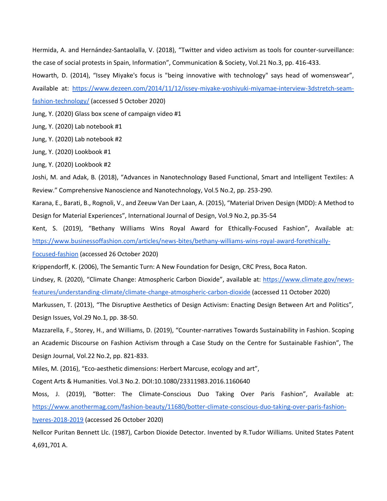Hermida, A. and Hernández-Santaolalla, V. (2018), "Twitter and video activism as tools for counter-surveillance: the case of social protests in Spain, Information", Communication & Society, Vol.21 No.3, pp. 416-433.

Howarth, D. (2014), "Issey Miyake's focus is "being innovative with technology" says head of womenswear",

Available at: [https://www.dezeen.com/2014/11/12/issey-miyake-yoshiyuki-miyamae-interview-3dstretch-seam-](https://www.dezeen.com/2014/11/12/issey-miyake-yoshiyuki-miyamae-interview-3dstretch-seam-fashion-technology/)

[fashion-technology/](https://www.dezeen.com/2014/11/12/issey-miyake-yoshiyuki-miyamae-interview-3dstretch-seam-fashion-technology/) (accessed 5 October 2020)

Jung, Y. (2020) Glass box scene of campaign video #1

Jung, Y. (2020) Lab notebook #1

Jung, Y. (2020) Lab notebook #2

Jung, Y. (2020) Lookbook #1

Jung, Y. (2020) Lookbook #2

Joshi, M. and Adak, B. (2018), "Advances in Nanotechnology Based Functional, Smart and Intelligent Textiles: A Review." Comprehensive Nanoscience and Nanotechnology, Vol.5 No.2, pp. 253-290.

Karana, E., Barati, B., Rognoli, V., and Zeeuw Van Der Laan, A. (2015), "Material Driven Design (MDD): A Method to Design for Material Experiences", International Journal of Design, Vol.9 No.2, pp.35-54

Kent, S. (2019), "Bethany Williams Wins Royal Award for Ethically-Focused Fashion", Available at: [https://www.businessoffashion.com/articles/news-bites/bethany-williams-wins-royal-award-forethically-](https://www.businessoffashion.com/articles/news-bites/bethany-williams-wins-royal-award-forethically-Focused-fashion)

[Focused-fashion](https://www.businessoffashion.com/articles/news-bites/bethany-williams-wins-royal-award-forethically-Focused-fashion) (accessed 26 October 2020)

Krippendorff, K. (2006), The Semantic Turn: A New Foundation for Design, CRC Press, Boca Raton.

Lindsey, R. (2020), "Climate Change: Atmospheric Carbon Dioxide", available at: [https://www.climate.gov/news](https://www.climate.gov/news-features/understanding-climate/climate-change-atmospheric-carbon-dioxide)[features/understanding-climate/climate-change-atmospheric-carbon-dioxide](https://www.climate.gov/news-features/understanding-climate/climate-change-atmospheric-carbon-dioxide) (accessed 11 October 2020)

Markussen, T. (2013), "The Disruptive Aesthetics of Design Activism: Enacting Design Between Art and Politics", Design Issues, Vol.29 No.1, pp. 38-50.

Mazzarella, F., Storey, H., and Williams, D. (2019), "Counter-narratives Towards Sustainability in Fashion. Scoping an Academic Discourse on Fashion Activism through a Case Study on the Centre for Sustainable Fashion", The Design Journal, Vol.22 No.2, pp. 821-833.

Miles, M. (2016), "Eco-aesthetic dimensions: Herbert Marcuse, ecology and art",

Cogent Arts & Humanities. Vol.3 No.2. DOI:10.1080/23311983.2016.1160640

Moss, J. (2019), "Botter: The Climate-Conscious Duo Taking Over Paris Fashion", Available at: [https://www.anothermag.com/fashion-beauty/11680/botter-climate-conscious-duo-taking-over-paris-fashion](https://www.anothermag.com/fashion-beauty/11680/botter-climate-conscious-duo-taking-over-paris-fashion-hyeres-2018-2019)[hyeres-2018-2019](https://www.anothermag.com/fashion-beauty/11680/botter-climate-conscious-duo-taking-over-paris-fashion-hyeres-2018-2019) (accessed 26 October 2020)

Nellcor Puritan Bennett Llc. (1987), Carbon Dioxide Detector. Invented by R.Tudor Williams. United States Patent 4,691,701 A.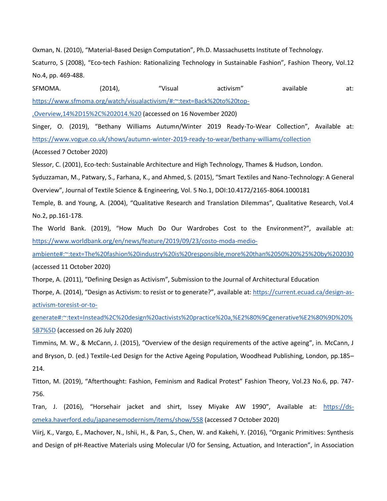Oxman, N. (2010), "Material-Based Design Computation", Ph.D. Massachusetts Institute of Technology.

Scaturro, S (2008), "Eco-tech Fashion: Rationalizing Technology in Sustainable Fashion", Fashion Theory, Vol.12 No.4, pp. 469-488.

SFMOMA. (2014), "Visual activism" available at: [https://www.sfmoma.org/watch/visualactivism/#:~:text=Back%20to%20top-](https://www.sfmoma.org/watch/visualactivism/#:~:text=Back%20to%20top-,Overview,14%2D15%2C%202014.%20) [,Overview,14%2D15%2C%202014.%20](https://www.sfmoma.org/watch/visualactivism/#:~:text=Back%20to%20top-,Overview,14%2D15%2C%202014.%20) (accessed on 16 November 2020) Singer, O. (2019), "Bethany Williams Autumn/Winter 2019 Ready-To-Wear Collection", Available at: <https://www.vogue.co.uk/shows/autumn-winter-2019-ready-to-wear/bethany-williams/collection> (Accessed 7 October 2020) Slessor, C. (2001), Eco-tech: Sustainable Architecture and High Technology, Thames & Hudson, London. Syduzzaman, M., Patwary, S., Farhana, K., and Ahmed, S. (2015), "Smart Textiles and Nano-Technology: A General Overview", Journal of Textile Science & Engineering, Vol. 5 No.1, DOI:10.4172/2165-8064.1000181 Temple, B. and Young, A. (2004), "Qualitative Research and Translation Dilemmas", Qualitative Research, Vol.4 No.2, pp.161-178.

The World Bank. (2019), "How Much Do Our Wardrobes Cost to the Environment?", available at: [https://www.worldbank.org/en/news/feature/2019/09/23/costo-moda-medio-](https://www.worldbank.org/en/news/feature/2019/09/23/costo-moda-medio-ambiente#:~:text=The%20fashion%20industry%20is%20responsible,more%20than%2050%20%25%20by%202030)

[ambiente#:~:text=The%20fashion%20industry%20is%20responsible,more%20than%2050%20%25%20by%202030](https://www.worldbank.org/en/news/feature/2019/09/23/costo-moda-medio-ambiente#:~:text=The%20fashion%20industry%20is%20responsible,more%20than%2050%20%25%20by%202030) (accessed 11 October 2020)

Thorpe, A. (2011), "Defining Design as Activism", Submission to the Journal of Architectural Education

Thorpe, A. (2014), "Design as Activism: to resist or to generate?", available at: [https://current.ecuad.ca/design-as](https://current.ecuad.ca/design-as-activism-toresist-or-to-generate#:~:text=Instead%2C%20design%20activists%20practice%20a,%E2%80%9Cgenerative%E2%80%9D%20%5B7%5D)[activism-toresist-or-to-](https://current.ecuad.ca/design-as-activism-toresist-or-to-generate#:~:text=Instead%2C%20design%20activists%20practice%20a,%E2%80%9Cgenerative%E2%80%9D%20%5B7%5D)

[generate#:~:text=Instead%2C%20design%20activists%20practice%20a,%E2%80%9Cgenerative%E2%80%9D%20%](https://current.ecuad.ca/design-as-activism-toresist-or-to-generate#:~:text=Instead%2C%20design%20activists%20practice%20a,%E2%80%9Cgenerative%E2%80%9D%20%5B7%5D) [5B7%5D](https://current.ecuad.ca/design-as-activism-toresist-or-to-generate#:~:text=Instead%2C%20design%20activists%20practice%20a,%E2%80%9Cgenerative%E2%80%9D%20%5B7%5D) (accessed on 26 July 2020)

Timmins, M. W., & McCann, J. (2015), "Overview of the design requirements of the active ageing", in. McCann, J and Bryson, D. (ed.) Textile-Led Design for the Active Ageing Population, Woodhead Publishing, London, pp.185– 214.

Titton, M. (2019), "Afterthought: Fashion, Feminism and Radical Protest" Fashion Theory, Vol.23 No.6, pp. 747- 756.

Tran, J. (2016), "Horsehair jacket and shirt, Issey Miyake AW 1990", Available at: [https://ds](https://ds-omeka.haverford.edu/japanesemodernism/items/show/558)[omeka.haverford.edu/japanesemodernism/items/show/558](https://ds-omeka.haverford.edu/japanesemodernism/items/show/558) (accessed 7 October 2020)

Viirj, K., Vargo, E., Machover, N., Ishii, H., & Pan, S., Chen, W. and Kakehi, Y. (2016), "Organic Primitives: Synthesis and Design of pH-Reactive Materials using Molecular I/O for Sensing, Actuation, and Interaction", in Association